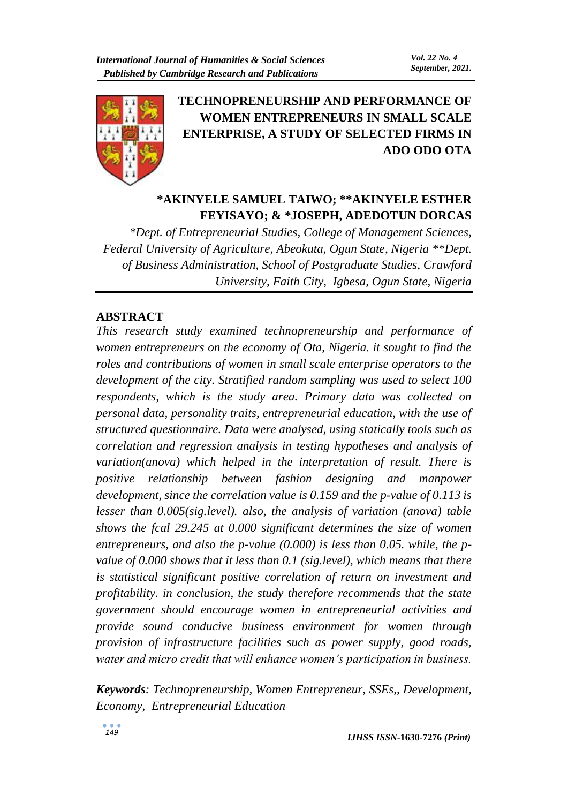

# **TECHNOPRENEURSHIP AND PERFORMANCE OF WOMEN ENTREPRENEURS IN SMALL SCALE ENTERPRISE, A STUDY OF SELECTED FIRMS IN ADO ODO OTA**

# **\*AKINYELE SAMUEL TAIWO; \*\*AKINYELE ESTHER FEYISAYO; & \*JOSEPH, ADEDOTUN DORCAS**

*\*Dept. of Entrepreneurial Studies, College of Management Sciences, Federal University of Agriculture, Abeokuta, Ogun State, Nigeria \*\*Dept. of Business Administration, School of Postgraduate Studies, Crawford University, Faith City, Igbesa, Ogun State, Nigeria*

### **ABSTRACT**

*This research study examined technopreneurship and performance of women entrepreneurs on the economy of Ota, Nigeria. it sought to find the roles and contributions of women in small scale enterprise operators to the development of the city. Stratified random sampling was used to select 100 respondents, which is the study area. Primary data was collected on personal data, personality traits, entrepreneurial education, with the use of structured questionnaire. Data were analysed, using statically tools such as correlation and regression analysis in testing hypotheses and analysis of variation(anova) which helped in the interpretation of result. There is positive relationship between fashion designing and manpower development, since the correlation value is 0.159 and the p-value of 0.113 is lesser than 0.005(sig.level). also, the analysis of variation (anova) table shows the fcal 29.245 at 0.000 significant determines the size of women entrepreneurs, and also the p-value (0.000) is less than 0.05. while, the pvalue of 0.000 shows that it less than 0.1 (sig.level), which means that there is statistical significant positive correlation of return on investment and profitability. in conclusion, the study therefore recommends that the state government should encourage women in entrepreneurial activities and provide sound conducive business environment for women through provision of infrastructure facilities such as power supply, good roads, water and micro credit that will enhance women's participation in business.* 

*Keywords: Technopreneurship, Women Entrepreneur, SSEs,, Development, Economy, Entrepreneurial Education*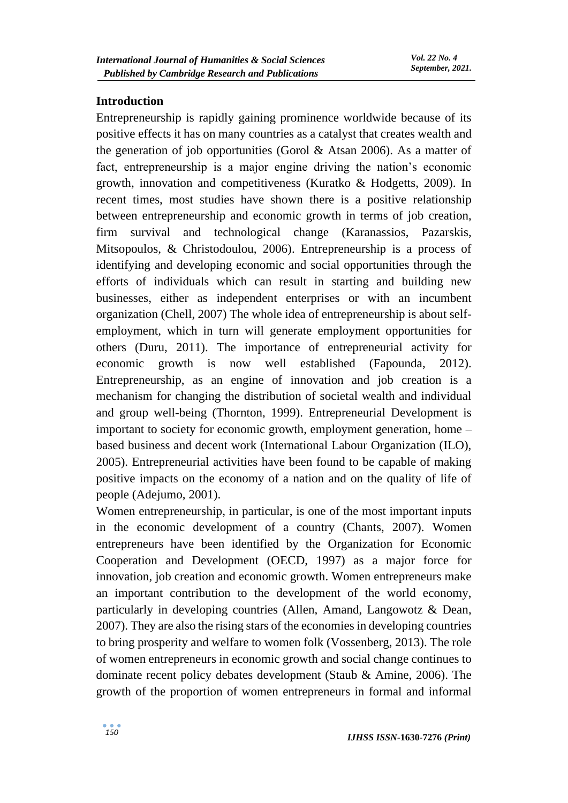### **Introduction**

Entrepreneurship is rapidly gaining prominence worldwide because of its positive effects it has on many countries as a catalyst that creates wealth and the generation of job opportunities (Gorol & Atsan 2006). As a matter of fact, entrepreneurship is a major engine driving the nation's economic growth, innovation and competitiveness (Kuratko & Hodgetts, 2009). In recent times, most studies have shown there is a positive relationship between entrepreneurship and economic growth in terms of job creation, firm survival and technological change (Karanassios, Pazarskis, Mitsopoulos, & Christodoulou, 2006). Entrepreneurship is a process of identifying and developing economic and social opportunities through the efforts of individuals which can result in starting and building new businesses, either as independent enterprises or with an incumbent organization (Chell, 2007) The whole idea of entrepreneurship is about selfemployment, which in turn will generate employment opportunities for others (Duru, 2011). The importance of entrepreneurial activity for economic growth is now well established (Fapounda, 2012). Entrepreneurship, as an engine of innovation and job creation is a mechanism for changing the distribution of societal wealth and individual and group well-being (Thornton, 1999). Entrepreneurial Development is important to society for economic growth, employment generation, home – based business and decent work (International Labour Organization (ILO), 2005). Entrepreneurial activities have been found to be capable of making positive impacts on the economy of a nation and on the quality of life of people (Adejumo, 2001).

Women entrepreneurship, in particular, is one of the most important inputs in the economic development of a country (Chants, 2007). Women entrepreneurs have been identified by the Organization for Economic Cooperation and Development (OECD, 1997) as a major force for innovation, job creation and economic growth. Women entrepreneurs make an important contribution to the development of the world economy, particularly in developing countries (Allen, Amand, Langowotz & Dean, 2007). They are also the rising stars of the economies in developing countries to bring prosperity and welfare to women folk (Vossenberg, 2013). The role of women entrepreneurs in economic growth and social change continues to dominate recent policy debates development (Staub & Amine, 2006). The growth of the proportion of women entrepreneurs in formal and informal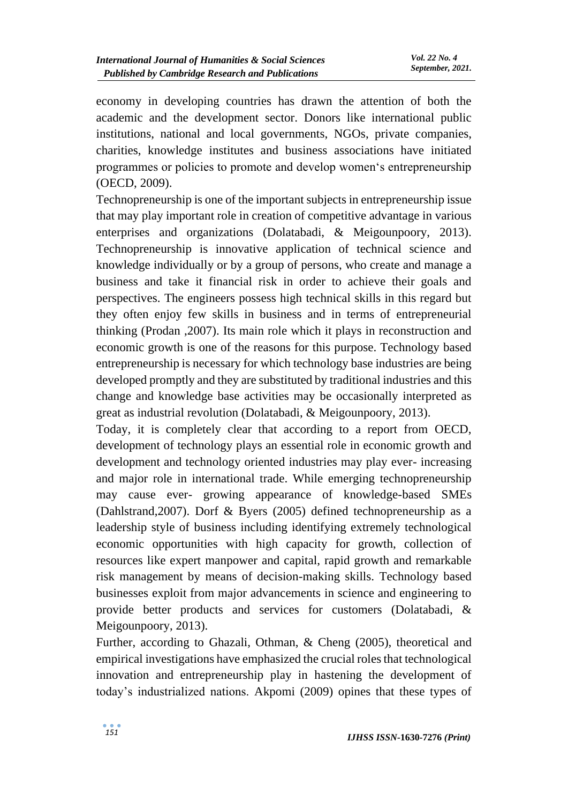economy in developing countries has drawn the attention of both the academic and the development sector. Donors like international public institutions, national and local governments, NGOs, private companies, charities, knowledge institutes and business associations have initiated programmes or policies to promote and develop women's entrepreneurship (OECD, 2009).

Technopreneurship is one of the important subjects in entrepreneurship issue that may play important role in creation of competitive advantage in various enterprises and organizations (Dolatabadi, & Meigounpoory, 2013). Technopreneurship is innovative application of technical science and knowledge individually or by a group of persons, who create and manage a business and take it financial risk in order to achieve their goals and perspectives. The engineers possess high technical skills in this regard but they often enjoy few skills in business and in terms of entrepreneurial thinking (Prodan ,2007). Its main role which it plays in reconstruction and economic growth is one of the reasons for this purpose. Technology based entrepreneurship is necessary for which technology base industries are being developed promptly and they are substituted by traditional industries and this change and knowledge base activities may be occasionally interpreted as great as industrial revolution (Dolatabadi, & Meigounpoory, 2013).

Today, it is completely clear that according to a report from OECD, development of technology plays an essential role in economic growth and development and technology oriented industries may play ever- increasing and major role in international trade. While emerging technopreneurship may cause ever- growing appearance of knowledge-based SMEs (Dahlstrand,2007). Dorf & Byers (2005) defined technopreneurship as a leadership style of business including identifying extremely technological economic opportunities with high capacity for growth, collection of resources like expert manpower and capital, rapid growth and remarkable risk management by means of decision-making skills. Technology based businesses exploit from major advancements in science and engineering to provide better products and services for customers (Dolatabadi, & Meigounpoory, 2013).

Further, according to Ghazali, Othman, & Cheng (2005), theoretical and empirical investigations have emphasized the crucial roles that technological innovation and entrepreneurship play in hastening the development of today's industrialized nations. Akpomi (2009) opines that these types of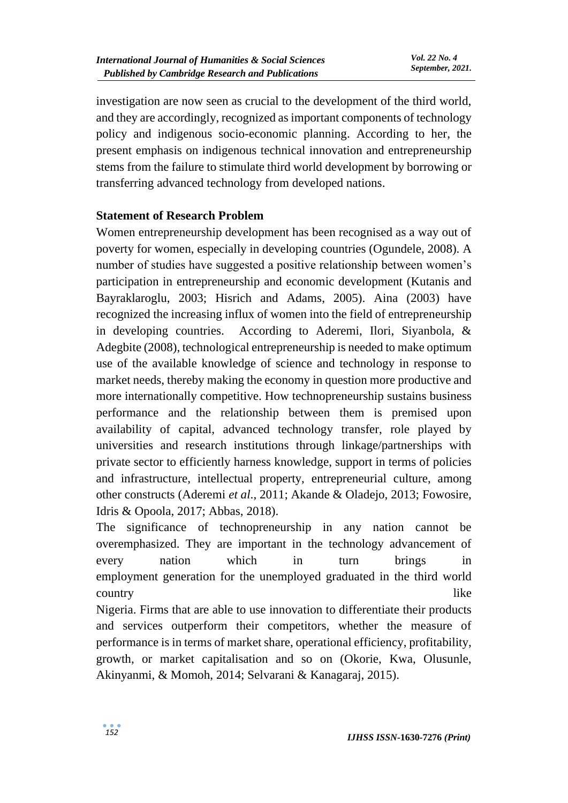investigation are now seen as crucial to the development of the third world, and they are accordingly, recognized as important components of technology policy and indigenous socio-economic planning. According to her, the present emphasis on indigenous technical innovation and entrepreneurship stems from the failure to stimulate third world development by borrowing or transferring advanced technology from developed nations.

## **Statement of Research Problem**

Women entrepreneurship development has been recognised as a way out of poverty for women, especially in developing countries (Ogundele, 2008). A number of studies have suggested a positive relationship between women's participation in entrepreneurship and economic development (Kutanis and Bayraklaroglu, 2003; Hisrich and Adams, 2005). Aina (2003) have recognized the increasing influx of women into the field of entrepreneurship in developing countries. According to Aderemi, Ilori, Siyanbola, & Adegbite (2008), technological entrepreneurship is needed to make optimum use of the available knowledge of science and technology in response to market needs, thereby making the economy in question more productive and more internationally competitive. How technopreneurship sustains business performance and the relationship between them is premised upon availability of capital, advanced technology transfer, role played by universities and research institutions through linkage/partnerships with private sector to efficiently harness knowledge, support in terms of policies and infrastructure, intellectual property, entrepreneurial culture, among other constructs (Aderemi *et al*., 2011; Akande & Oladejo, 2013; Fowosire, Idris & Opoola, 2017; Abbas, 2018).

The significance of technopreneurship in any nation cannot be overemphasized. They are important in the technology advancement of every nation which in turn brings in employment generation for the unemployed graduated in the third world country like

Nigeria. Firms that are able to use innovation to differentiate their products and services outperform their competitors, whether the measure of performance is in terms of market share, operational efficiency, profitability, growth, or market capitalisation and so on (Okorie, Kwa, Olusunle, Akinyanmi, & Momoh, 2014; Selvarani & Kanagaraj, 2015).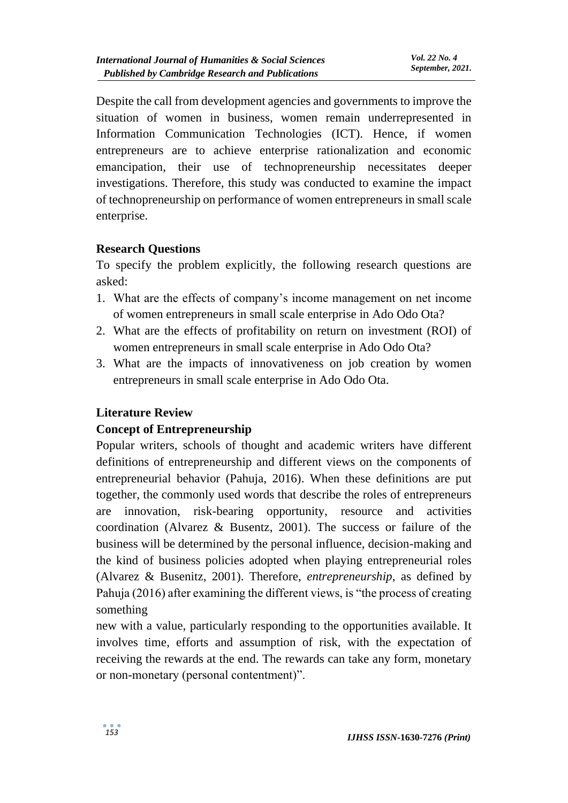Despite the call from development agencies and governments to improve the situation of women in business, women remain underrepresented in Information Communication Technologies (ICT). Hence, if women entrepreneurs are to achieve enterprise rationalization and economic emancipation, their use of technopreneurship necessitates deeper investigations. Therefore, this study was conducted to examine the impact of technopreneurship on performance of women entrepreneurs in small scale enterprise.

## **Research Questions**

To specify the problem explicitly, the following research questions are asked:

- 1. What are the effects of company's income management on net income of women entrepreneurs in small scale enterprise in Ado Odo Ota?
- 2. What are the effects of profitability on return on investment (ROI) of women entrepreneurs in small scale enterprise in Ado Odo Ota?
- 3. What are the impacts of innovativeness on job creation by women entrepreneurs in small scale enterprise in Ado Odo Ota.

## **Literature Review**

### **Concept of Entrepreneurship**

Popular writers, schools of thought and academic writers have different definitions of entrepreneurship and different views on the components of entrepreneurial behavior (Pahuja, 2016). When these definitions are put together, the commonly used words that describe the roles of entrepreneurs are innovation, risk-bearing opportunity, resource and activities coordination (Alvarez & Busentz, 2001). The success or failure of the business will be determined by the personal influence, decision-making and the kind of business policies adopted when playing entrepreneurial roles (Alvarez & Busenitz, 2001). Therefore, *entrepreneurship*, as defined by Pahuja (2016) after examining the different views, is "the process of creating something

new with a value, particularly responding to the opportunities available. It involves time, efforts and assumption of risk, with the expectation of receiving the rewards at the end. The rewards can take any form, monetary or non-monetary (personal contentment)".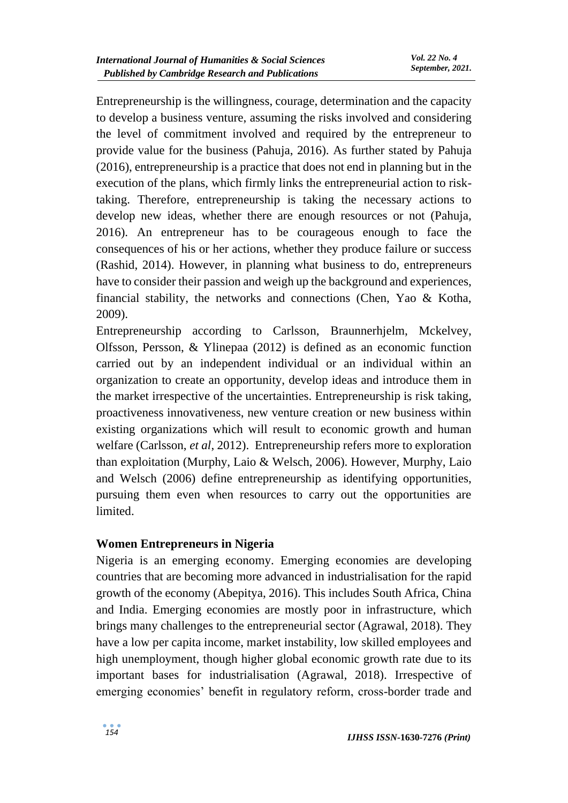Entrepreneurship is the willingness, courage, determination and the capacity to develop a business venture, assuming the risks involved and considering the level of commitment involved and required by the entrepreneur to provide value for the business (Pahuja, 2016). As further stated by Pahuja (2016), entrepreneurship is a practice that does not end in planning but in the execution of the plans, which firmly links the entrepreneurial action to risktaking. Therefore, entrepreneurship is taking the necessary actions to develop new ideas, whether there are enough resources or not (Pahuja, 2016). An entrepreneur has to be courageous enough to face the consequences of his or her actions, whether they produce failure or success (Rashid, 2014). However, in planning what business to do, entrepreneurs have to consider their passion and weigh up the background and experiences, financial stability, the networks and connections (Chen, Yao & Kotha, 2009).

Entrepreneurship according to Carlsson, Braunnerhjelm, Mckelvey, Olfsson, Persson, & Ylinepaa (2012) is defined as an economic function carried out by an independent individual or an individual within an organization to create an opportunity, develop ideas and introduce them in the market irrespective of the uncertainties. Entrepreneurship is risk taking, proactiveness innovativeness, new venture creation or new business within existing organizations which will result to economic growth and human welfare (Carlsson, *et al*, 2012). Entrepreneurship refers more to exploration than exploitation (Murphy, Laio & Welsch, 2006). However, Murphy, Laio and Welsch (2006) define entrepreneurship as identifying opportunities, pursuing them even when resources to carry out the opportunities are limited.

### **Women Entrepreneurs in Nigeria**

Nigeria is an emerging economy. Emerging economies are developing countries that are becoming more advanced in industrialisation for the rapid growth of the economy (Abepitya, 2016). This includes South Africa, China and India. Emerging economies are mostly poor in infrastructure, which brings many challenges to the entrepreneurial sector (Agrawal, 2018). They have a low per capita income, market instability, low skilled employees and high unemployment, though higher global economic growth rate due to its important bases for industrialisation (Agrawal, 2018). Irrespective of emerging economies' benefit in regulatory reform, cross-border trade and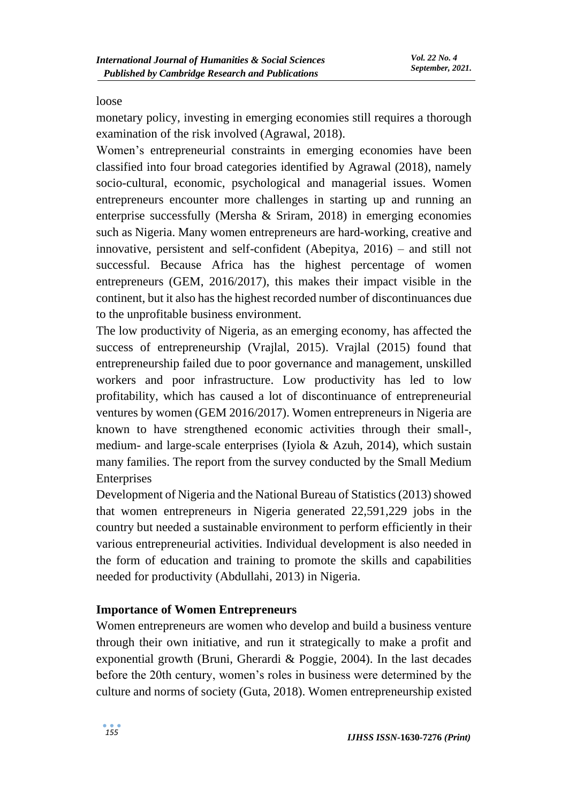#### loose

monetary policy, investing in emerging economies still requires a thorough examination of the risk involved (Agrawal, 2018).

Women's entrepreneurial constraints in emerging economies have been classified into four broad categories identified by Agrawal (2018), namely socio-cultural, economic, psychological and managerial issues. Women entrepreneurs encounter more challenges in starting up and running an enterprise successfully (Mersha & Sriram, 2018) in emerging economies such as Nigeria. Many women entrepreneurs are hard-working, creative and innovative, persistent and self-confident (Abepitya, 2016) – and still not successful. Because Africa has the highest percentage of women entrepreneurs (GEM, 2016/2017), this makes their impact visible in the continent, but it also has the highest recorded number of discontinuances due to the unprofitable business environment.

The low productivity of Nigeria, as an emerging economy, has affected the success of entrepreneurship (Vrajlal, 2015). Vrajlal (2015) found that entrepreneurship failed due to poor governance and management, unskilled workers and poor infrastructure. Low productivity has led to low profitability, which has caused a lot of discontinuance of entrepreneurial ventures by women (GEM 2016/2017). Women entrepreneurs in Nigeria are known to have strengthened economic activities through their small-, medium- and large-scale enterprises (Iyiola & Azuh, 2014), which sustain many families. The report from the survey conducted by the Small Medium Enterprises

Development of Nigeria and the National Bureau of Statistics (2013) showed that women entrepreneurs in Nigeria generated 22,591,229 jobs in the country but needed a sustainable environment to perform efficiently in their various entrepreneurial activities. Individual development is also needed in the form of education and training to promote the skills and capabilities needed for productivity (Abdullahi, 2013) in Nigeria.

### **Importance of Women Entrepreneurs**

Women entrepreneurs are women who develop and build a business venture through their own initiative, and run it strategically to make a profit and exponential growth (Bruni, Gherardi & Poggie, 2004). In the last decades before the 20th century, women's roles in business were determined by the culture and norms of society (Guta, 2018). Women entrepreneurship existed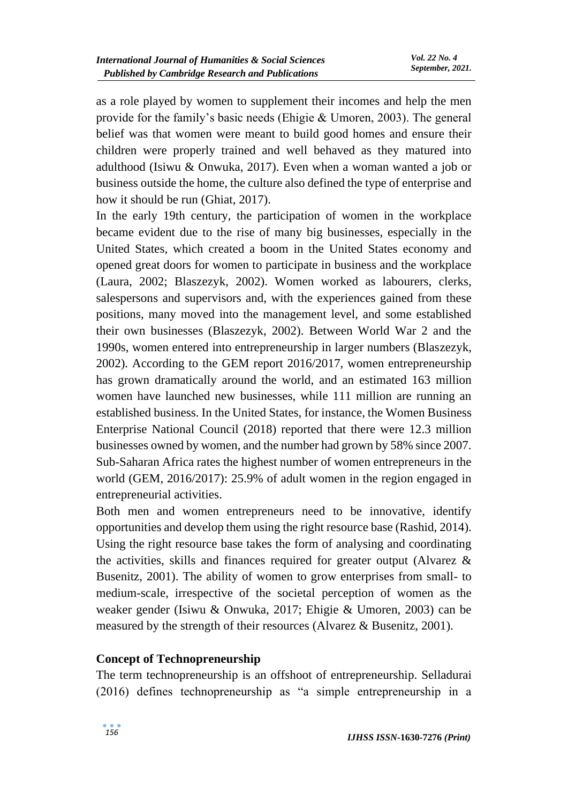as a role played by women to supplement their incomes and help the men provide for the family's basic needs (Ehigie & Umoren, 2003). The general belief was that women were meant to build good homes and ensure their children were properly trained and well behaved as they matured into adulthood (Isiwu & Onwuka, 2017). Even when a woman wanted a job or business outside the home, the culture also defined the type of enterprise and how it should be run (Ghiat, 2017).

In the early 19th century, the participation of women in the workplace became evident due to the rise of many big businesses, especially in the United States, which created a boom in the United States economy and opened great doors for women to participate in business and the workplace (Laura, 2002; Blaszezyk, 2002). Women worked as labourers, clerks, salespersons and supervisors and, with the experiences gained from these positions, many moved into the management level, and some established their own businesses (Blaszezyk, 2002). Between World War 2 and the 1990s, women entered into entrepreneurship in larger numbers (Blaszezyk, 2002). According to the GEM report 2016/2017, women entrepreneurship has grown dramatically around the world, and an estimated 163 million women have launched new businesses, while 111 million are running an established business. In the United States, for instance, the Women Business Enterprise National Council (2018) reported that there were 12.3 million businesses owned by women, and the number had grown by 58% since 2007. Sub-Saharan Africa rates the highest number of women entrepreneurs in the world (GEM, 2016/2017): 25.9% of adult women in the region engaged in entrepreneurial activities.

Both men and women entrepreneurs need to be innovative, identify opportunities and develop them using the right resource base (Rashid, 2014). Using the right resource base takes the form of analysing and coordinating the activities, skills and finances required for greater output (Alvarez & Busenitz, 2001). The ability of women to grow enterprises from small- to medium-scale, irrespective of the societal perception of women as the weaker gender (Isiwu & Onwuka, 2017; Ehigie & Umoren, 2003) can be measured by the strength of their resources (Alvarez & Busenitz, 2001).

### **Concept of Technopreneurship**

The term technopreneurship is an offshoot of entrepreneurship. Selladurai (2016) defines technopreneurship as "a simple entrepreneurship in a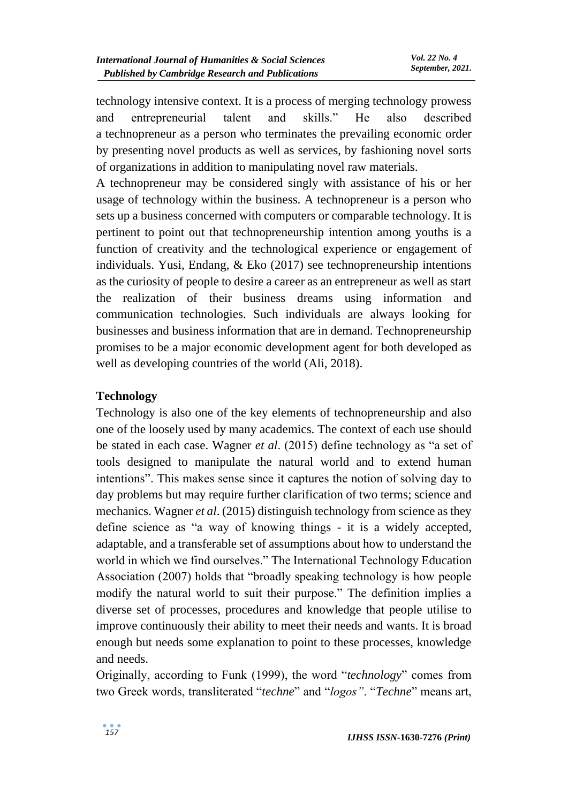technology intensive context. It is a process of merging technology prowess and entrepreneurial talent and skills." He also described a technopreneur as a person who terminates the prevailing economic order by presenting novel products as well as services, by fashioning novel sorts of organizations in addition to manipulating novel raw materials.

A technopreneur may be considered singly with assistance of his or her usage of technology within the business. A technopreneur is a person who sets up a business concerned with computers or comparable technology. It is pertinent to point out that technopreneurship intention among youths is a function of creativity and the technological experience or engagement of individuals. Yusi, Endang, & Eko (2017) see technopreneurship intentions as the curiosity of people to desire a career as an entrepreneur as well as start the realization of their business dreams using information and communication technologies. Such individuals are always looking for businesses and business information that are in demand. Technopreneurship promises to be a major economic development agent for both developed as well as developing countries of the world (Ali, 2018).

## **Technology**

Technology is also one of the key elements of technopreneurship and also one of the loosely used by many academics. The context of each use should be stated in each case. Wagner *et al*. (2015) define technology as "a set of tools designed to manipulate the natural world and to extend human intentions". This makes sense since it captures the notion of solving day to day problems but may require further clarification of two terms; science and mechanics. Wagner *et al*. (2015) distinguish technology from science as they define science as "a way of knowing things - it is a widely accepted, adaptable, and a transferable set of assumptions about how to understand the world in which we find ourselves." The International Technology Education Association (2007) holds that "broadly speaking technology is how people modify the natural world to suit their purpose." The definition implies a diverse set of processes, procedures and knowledge that people utilise to improve continuously their ability to meet their needs and wants. It is broad enough but needs some explanation to point to these processes, knowledge and needs.

Originally, according to Funk (1999), the word "*technology*" comes from two Greek words, transliterated "*techne*" and "*logos"*. "*Techne*" means art,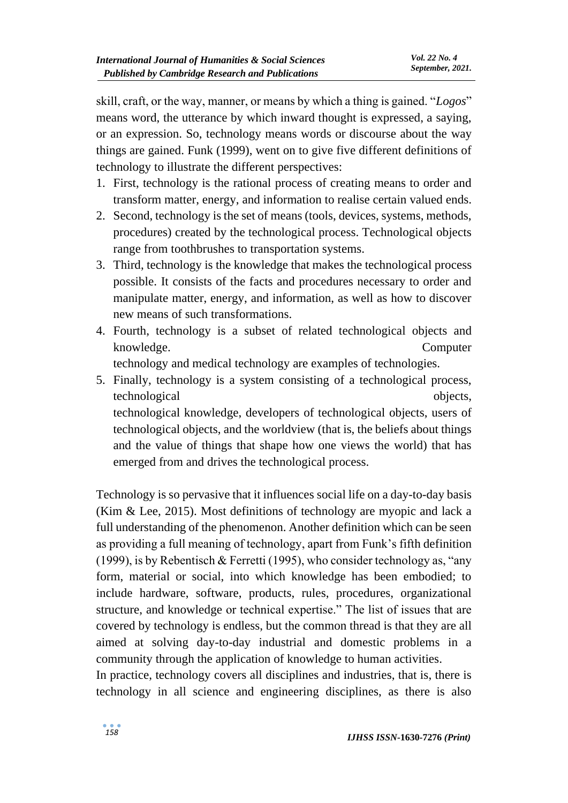skill, craft, or the way, manner, or means by which a thing is gained. "*Logos*" means word, the utterance by which inward thought is expressed, a saying, or an expression. So, technology means words or discourse about the way things are gained. Funk (1999), went on to give five different definitions of technology to illustrate the different perspectives:

- 1. First, technology is the rational process of creating means to order and transform matter, energy, and information to realise certain valued ends.
- 2. Second, technology is the set of means (tools, devices, systems, methods, procedures) created by the technological process. Technological objects range from toothbrushes to transportation systems.
- 3. Third, technology is the knowledge that makes the technological process possible. It consists of the facts and procedures necessary to order and manipulate matter, energy, and information, as well as how to discover new means of such transformations.
- 4. Fourth, technology is a subset of related technological objects and knowledge. Computer

technology and medical technology are examples of technologies.

5. Finally, technology is a system consisting of a technological process, technological objects, technological knowledge, developers of technological objects, users of technological objects, and the worldview (that is, the beliefs about things and the value of things that shape how one views the world) that has emerged from and drives the technological process.

Technology is so pervasive that it influences social life on a day-to-day basis (Kim & Lee, 2015). Most definitions of technology are myopic and lack a full understanding of the phenomenon. Another definition which can be seen as providing a full meaning of technology, apart from Funk's fifth definition (1999), is by Rebentisch & Ferretti (1995), who consider technology as, "any form, material or social, into which knowledge has been embodied; to include hardware, software, products, rules, procedures, organizational structure, and knowledge or technical expertise." The list of issues that are covered by technology is endless, but the common thread is that they are all aimed at solving day-to-day industrial and domestic problems in a community through the application of knowledge to human activities.

In practice, technology covers all disciplines and industries, that is, there is technology in all science and engineering disciplines, as there is also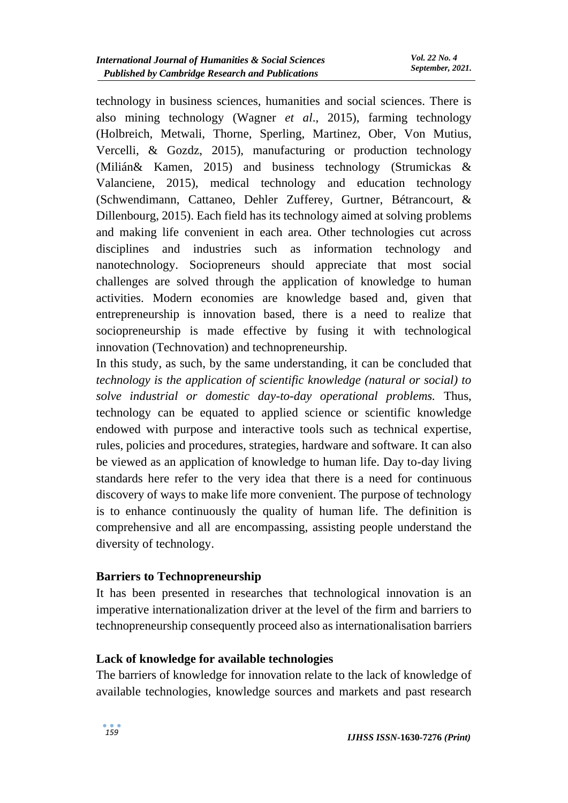technology in business sciences, humanities and social sciences. There is also mining technology (Wagner *et al*., 2015), farming technology (Holbreich, Metwali, Thorne, Sperling, Martinez, Ober, Von Mutius, Vercelli, & Gozdz, 2015), manufacturing or production technology (Milián& Kamen, 2015) and business technology (Strumickas & Valanciene, 2015), medical technology and education technology (Schwendimann, Cattaneo, Dehler Zufferey, Gurtner, Bétrancourt, & Dillenbourg, 2015). Each field has its technology aimed at solving problems and making life convenient in each area. Other technologies cut across disciplines and industries such as information technology and nanotechnology. Sociopreneurs should appreciate that most social challenges are solved through the application of knowledge to human activities. Modern economies are knowledge based and, given that entrepreneurship is innovation based, there is a need to realize that sociopreneurship is made effective by fusing it with technological innovation (Technovation) and technopreneurship.

In this study, as such, by the same understanding, it can be concluded that *technology is the application of scientific knowledge (natural or social) to solve industrial or domestic day-to-day operational problems.* Thus, technology can be equated to applied science or scientific knowledge endowed with purpose and interactive tools such as technical expertise, rules, policies and procedures, strategies, hardware and software. It can also be viewed as an application of knowledge to human life. Day to-day living standards here refer to the very idea that there is a need for continuous discovery of ways to make life more convenient. The purpose of technology is to enhance continuously the quality of human life. The definition is comprehensive and all are encompassing, assisting people understand the diversity of technology.

### **Barriers to Technopreneurship**

It has been presented in researches that technological innovation is an imperative internationalization driver at the level of the firm and barriers to technopreneurship consequently proceed also as internationalisation barriers

### **Lack of knowledge for available technologies**

The barriers of knowledge for innovation relate to the lack of knowledge of available technologies, knowledge sources and markets and past research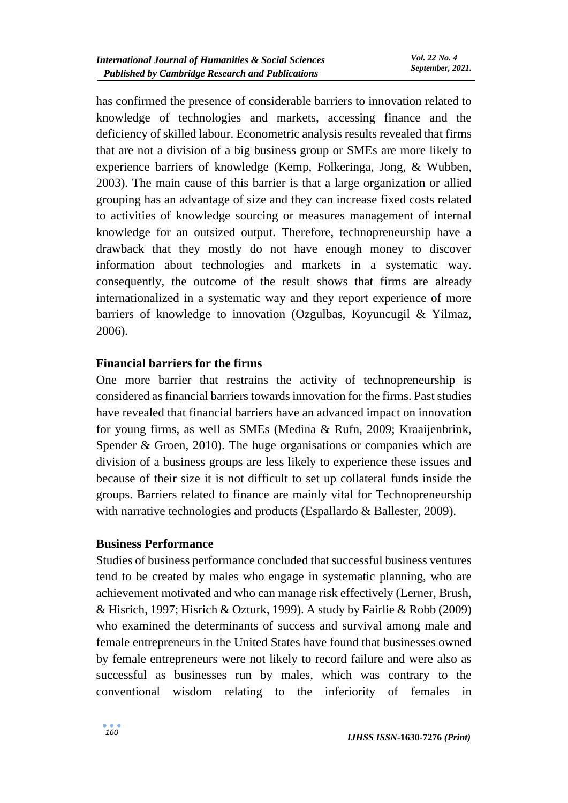has confirmed the presence of considerable barriers to innovation related to knowledge of technologies and markets, accessing finance and the deficiency of skilled labour. Econometric analysis results revealed that firms that are not a division of a big business group or SMEs are more likely to experience barriers of knowledge (Kemp, Folkeringa, Jong, & Wubben, 2003). The main cause of this barrier is that a large organization or allied grouping has an advantage of size and they can increase fixed costs related to activities of knowledge sourcing or measures management of internal knowledge for an outsized output. Therefore, technopreneurship have a drawback that they mostly do not have enough money to discover information about technologies and markets in a systematic way. consequently, the outcome of the result shows that firms are already internationalized in a systematic way and they report experience of more barriers of knowledge to innovation (Ozgulbas, Koyuncugil & Yilmaz, 2006).

### **Financial barriers for the firms**

One more barrier that restrains the activity of technopreneurship is considered as financial barriers towards innovation for the firms. Past studies have revealed that financial barriers have an advanced impact on innovation for young firms, as well as SMEs (Medina & Rufn, 2009; Kraaijenbrink, Spender & Groen, 2010). The huge organisations or companies which are division of a business groups are less likely to experience these issues and because of their size it is not difficult to set up collateral funds inside the groups. Barriers related to finance are mainly vital for Technopreneurship with narrative technologies and products (Espallardo & Ballester, 2009).

### **Business Performance**

Studies of business performance concluded that successful business ventures tend to be created by males who engage in systematic planning, who are achievement motivated and who can manage risk effectively (Lerner, Brush, & Hisrich, 1997; Hisrich & Ozturk, 1999). A study by Fairlie & Robb (2009) who examined the determinants of success and survival among male and female entrepreneurs in the United States have found that businesses owned by female entrepreneurs were not likely to record failure and were also as successful as businesses run by males, which was contrary to the conventional wisdom relating to the inferiority of females in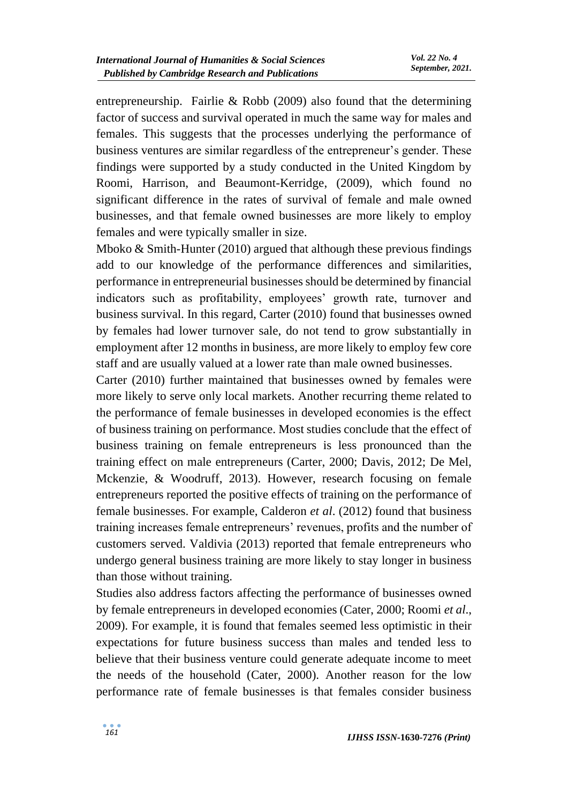entrepreneurship. Fairlie & Robb (2009) also found that the determining factor of success and survival operated in much the same way for males and females. This suggests that the processes underlying the performance of business ventures are similar regardless of the entrepreneur's gender. These findings were supported by a study conducted in the United Kingdom by Roomi, Harrison, and Beaumont-Kerridge, (2009), which found no significant difference in the rates of survival of female and male owned businesses, and that female owned businesses are more likely to employ females and were typically smaller in size.

Mboko & Smith-Hunter (2010) argued that although these previous findings add to our knowledge of the performance differences and similarities, performance in entrepreneurial businesses should be determined by financial indicators such as profitability, employees' growth rate, turnover and business survival. In this regard, Carter (2010) found that businesses owned by females had lower turnover sale, do not tend to grow substantially in employment after 12 months in business, are more likely to employ few core staff and are usually valued at a lower rate than male owned businesses.

Carter (2010) further maintained that businesses owned by females were more likely to serve only local markets. Another recurring theme related to the performance of female businesses in developed economies is the effect of business training on performance. Most studies conclude that the effect of business training on female entrepreneurs is less pronounced than the training effect on male entrepreneurs (Carter, 2000; Davis, 2012; De Mel, Mckenzie, & Woodruff, 2013). However, research focusing on female entrepreneurs reported the positive effects of training on the performance of female businesses. For example, Calderon *et al*. (2012) found that business training increases female entrepreneurs' revenues, profits and the number of customers served. Valdivia (2013) reported that female entrepreneurs who undergo general business training are more likely to stay longer in business than those without training.

Studies also address factors affecting the performance of businesses owned by female entrepreneurs in developed economies (Cater, 2000; Roomi *et al*., 2009). For example, it is found that females seemed less optimistic in their expectations for future business success than males and tended less to believe that their business venture could generate adequate income to meet the needs of the household (Cater, 2000). Another reason for the low performance rate of female businesses is that females consider business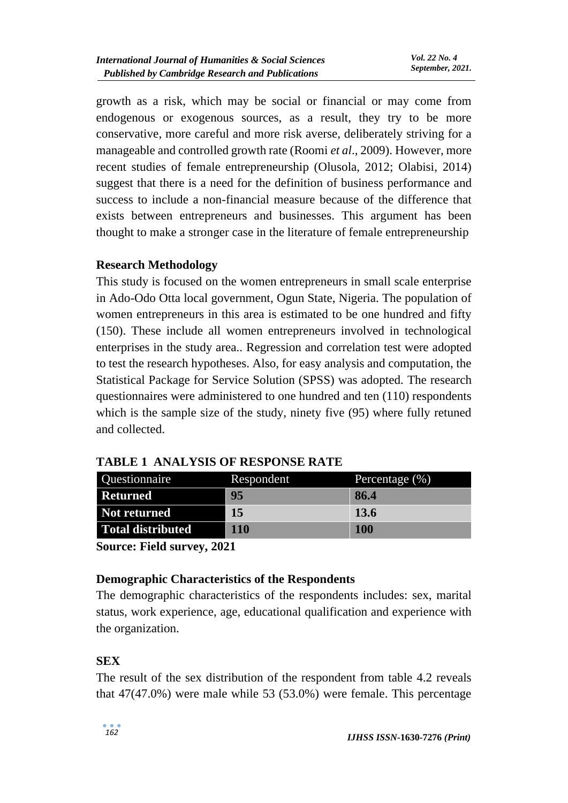growth as a risk, which may be social or financial or may come from endogenous or exogenous sources, as a result, they try to be more conservative, more careful and more risk averse, deliberately striving for a manageable and controlled growth rate (Roomi *et al*., 2009). However, more recent studies of female entrepreneurship (Olusola, 2012; Olabisi, 2014) suggest that there is a need for the definition of business performance and success to include a non-financial measure because of the difference that exists between entrepreneurs and businesses. This argument has been thought to make a stronger case in the literature of female entrepreneurship

## **Research Methodology**

This study is focused on the women entrepreneurs in small scale enterprise in Ado-Odo Otta local government, Ogun State, Nigeria. The population of women entrepreneurs in this area is estimated to be one hundred and fifty (150). These include all women entrepreneurs involved in technological enterprises in the study area.. Regression and correlation test were adopted to test the research hypotheses. Also, for easy analysis and computation, the Statistical Package for Service Solution (SPSS) was adopted. The research questionnaires were administered to one hundred and ten (110) respondents which is the sample size of the study, ninety five (95) where fully retuned and collected.

| Questionnaire       | Respondent | Percentage $(\%)$ |
|---------------------|------------|-------------------|
| <b>Returned</b>     | -95        | -86.4             |
| <b>Not returned</b> | -15        | <b>13.6</b>       |
| Total distributed   | 110        | <b>100</b>        |

**TABLE 1 ANALYSIS OF RESPONSE RATE**

**Source: Field survey, 2021**

## **Demographic Characteristics of the Respondents**

The demographic characteristics of the respondents includes: sex, marital status, work experience, age, educational qualification and experience with the organization.

## **SEX**

The result of the sex distribution of the respondent from table 4.2 reveals that 47(47.0%) were male while 53 (53.0%) were female. This percentage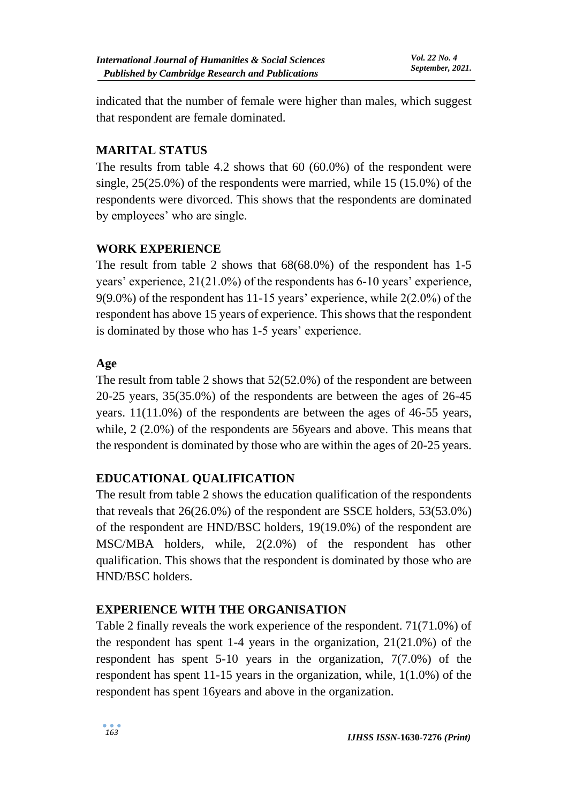indicated that the number of female were higher than males, which suggest that respondent are female dominated.

## **MARITAL STATUS**

The results from table 4.2 shows that 60 (60.0%) of the respondent were single, 25(25.0%) of the respondents were married, while 15 (15.0%) of the respondents were divorced. This shows that the respondents are dominated by employees' who are single.

## **WORK EXPERIENCE**

The result from table 2 shows that 68(68.0%) of the respondent has 1-5 years' experience, 21(21.0%) of the respondents has 6-10 years' experience, 9(9.0%) of the respondent has 11-15 years' experience, while 2(2.0%) of the respondent has above 15 years of experience. This shows that the respondent is dominated by those who has 1-5 years' experience.

## **Age**

The result from table 2 shows that 52(52.0%) of the respondent are between 20-25 years, 35(35.0%) of the respondents are between the ages of 26-45 years. 11(11.0%) of the respondents are between the ages of 46-55 years, while, 2 (2.0%) of the respondents are 56years and above. This means that the respondent is dominated by those who are within the ages of 20-25 years.

## **EDUCATIONAL QUALIFICATION**

The result from table 2 shows the education qualification of the respondents that reveals that 26(26.0%) of the respondent are SSCE holders, 53(53.0%) of the respondent are HND/BSC holders, 19(19.0%) of the respondent are MSC/MBA holders, while, 2(2.0%) of the respondent has other qualification. This shows that the respondent is dominated by those who are HND/BSC holders.

## **EXPERIENCE WITH THE ORGANISATION**

Table 2 finally reveals the work experience of the respondent. 71(71.0%) of the respondent has spent 1-4 years in the organization, 21(21.0%) of the respondent has spent 5-10 years in the organization, 7(7.0%) of the respondent has spent 11-15 years in the organization, while, 1(1.0%) of the respondent has spent 16years and above in the organization.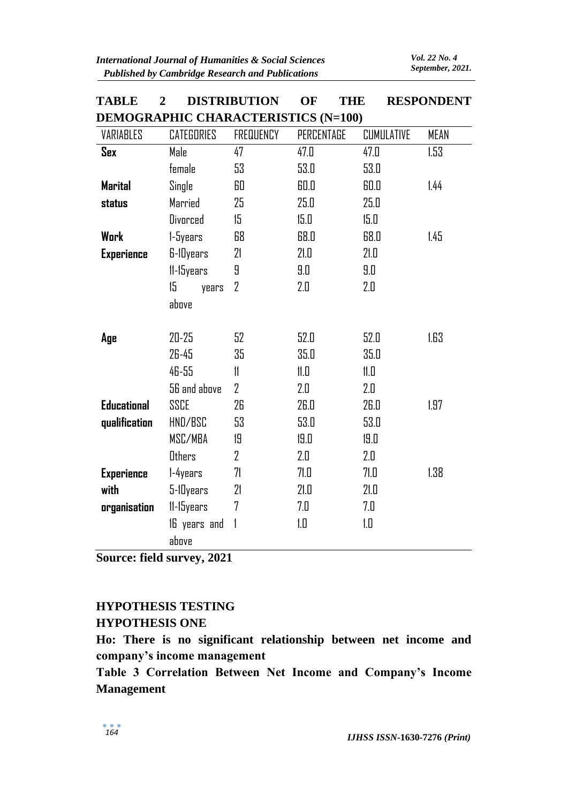| VARIABLES          | <b>CATEGORIES</b> | <b>FREQUENCY</b> | PERCENTAGE | <b>CUMULATIVE</b> | MEAN |
|--------------------|-------------------|------------------|------------|-------------------|------|
| <b>Sex</b>         | Male              |                  | 47.0       | 47.0              | 1.53 |
|                    | female            | 53               | 53.0       | 53.0              |      |
| <b>Marital</b>     | Single            | 60               | 60.0       | 60.0              | 1.44 |
| status             | Married           | 25               | 25.0       | 25.0              |      |
|                    | Divorced          | 15               | 15.0       | 15.0              |      |
| <b>Work</b>        | 1-5years          | 68               | 68.0       | 68.0              | 1.45 |
| <b>Experience</b>  | 6-10years         | 21               | 21.0       | 21.0              |      |
|                    | 11-15years        | 9                | 9.0        | 9.0               |      |
|                    | 15<br>years       | $\overline{2}$   | 2.0        | 2.0               |      |
|                    | above             |                  |            |                   |      |
|                    |                   |                  |            |                   |      |
| Age                | $20 - 25$         | 52               | 52.0       | 52.0              | 1.63 |
|                    | 26-45             | 35               | 35.D       | 35.0              |      |
|                    | 46-55             | 11               | 11.0       | 11.0              |      |
|                    | 56 and above      | $\overline{2}$   | 2.0        | 2.0               |      |
| <b>Educational</b> | SSCE              | 26               | 26.0       | 26.0              | 1.97 |
| qualification      | HND/BSC           | 53               | 53.0       | 53.0              |      |
|                    | MSC/MBA           | 19               | 19.0       | 19.0              |      |
|                    | Others            | $\overline{2}$   | 2.0        | 2.0               |      |
| <b>Experience</b>  | 1-4years          | 71               | 71.O       | 71.O              | 1.38 |
| with               | 5-10years         | 21               | 21.0       | 21.0              |      |
| organisation       | 11-15years        | 7                | 7.0        | 7.0               |      |
|                    | 16 years and      | $\mathbf{1}$     | 1.0        | 1.0               |      |
|                    | above             |                  |            |                   |      |

## **TABLE 2 DISTRIBUTION OF THE RESPONDENT DEMOCRAPHIC CHARACTERISTICS (N-100)**

**Source: field survey, 2021**

# **HYPOTHESIS TESTING HYPOTHESIS ONE**

**Ho: There is no significant relationship between net income and company's income management** 

**Table 3 Correlation Between Net Income and Company's Income Management**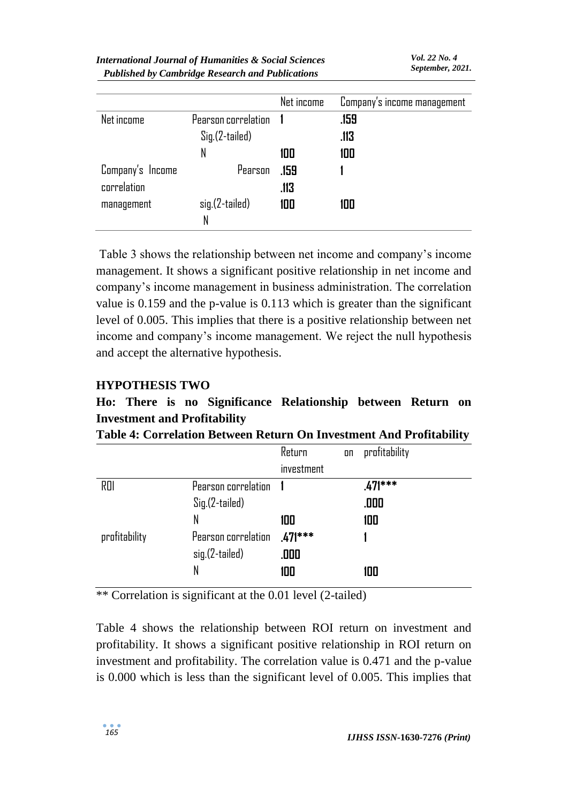|                  |                     | Net income | Company's income management |
|------------------|---------------------|------------|-----------------------------|
| Net income       | Pearson correlation |            | .159                        |
|                  | Sig.(2-tailed)      |            | .113                        |
|                  | N                   | 100        | 100                         |
| Company's Income | Pearson             | .159       |                             |
| correlation      |                     | .113       |                             |
| management       | sig.(2-tailed)      | 100        | 100                         |
|                  | N                   |            |                             |

Table 3 shows the relationship between net income and company's income management. It shows a significant positive relationship in net income and company's income management in business administration. The correlation value is 0.159 and the p-value is 0.113 which is greater than the significant level of 0.005. This implies that there is a positive relationship between net income and company's income management. We reject the null hypothesis and accept the alternative hypothesis.

### **HYPOTHESIS TWO**

# **Ho: There is no Significance Relationship between Return on Investment and Profitability**

|  |  |  |  |  |  |  | Table 4: Correlation Between Return On Investment And Profitability |  |
|--|--|--|--|--|--|--|---------------------------------------------------------------------|--|
|--|--|--|--|--|--|--|---------------------------------------------------------------------|--|

|               |                     | Return     | on | profitability |
|---------------|---------------------|------------|----|---------------|
|               |                     | investment |    |               |
| ROI           | Pearson correlation |            |    | $.471***$     |
|               | Sig.(2-tailed)      |            |    | .000          |
|               | N                   | 100        |    | 100           |
| profitability | Pearson correlation | $.471***$  |    |               |
|               | sig.(2-tailed)      | .000       |    |               |
|               | N                   | 100        |    | 100           |

\*\* Correlation is significant at the 0.01 level (2-tailed)

Table 4 shows the relationship between ROI return on investment and profitability. It shows a significant positive relationship in ROI return on investment and profitability. The correlation value is 0.471 and the p-value is 0.000 which is less than the significant level of 0.005. This implies that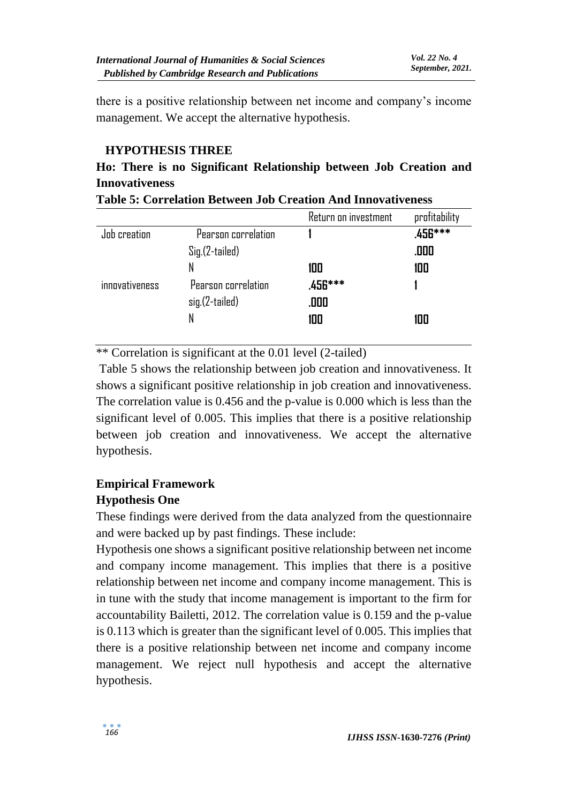there is a positive relationship between net income and company's income management. We accept the alternative hypothesis.

## **HYPOTHESIS THREE**

## **Ho: There is no Significant Relationship between Job Creation and Innovativeness**

|                       |                     | Return on investment | profitability |
|-----------------------|---------------------|----------------------|---------------|
| Job creation          | Pearson correlation |                      | .456***       |
|                       | Sig.(2-tailed)      |                      | .000          |
|                       | N                   | 100                  | 100           |
| <i>innovativeness</i> | Pearson correlation | .456***              |               |
|                       | sig.(2-tailed)      | .000                 |               |
|                       | N                   | 100                  | 100           |
|                       |                     |                      |               |

|  |  | <b>Table 5: Correlation Between Job Creation And Innovativeness</b> |
|--|--|---------------------------------------------------------------------|
|  |  |                                                                     |

\*\* Correlation is significant at the 0.01 level (2-tailed)

Table 5 shows the relationship between job creation and innovativeness. It shows a significant positive relationship in job creation and innovativeness. The correlation value is 0.456 and the p-value is 0.000 which is less than the significant level of 0.005. This implies that there is a positive relationship between job creation and innovativeness. We accept the alternative hypothesis.

# **Empirical Framework**

## **Hypothesis One**

These findings were derived from the data analyzed from the questionnaire and were backed up by past findings. These include:

Hypothesis one shows a significant positive relationship between net income and company income management. This implies that there is a positive relationship between net income and company income management. This is in tune with the study that income management is important to the firm for accountability Bailetti, 2012. The correlation value is 0.159 and the p-value is 0.113 which is greater than the significant level of 0.005. This implies that there is a positive relationship between net income and company income management. We reject null hypothesis and accept the alternative hypothesis.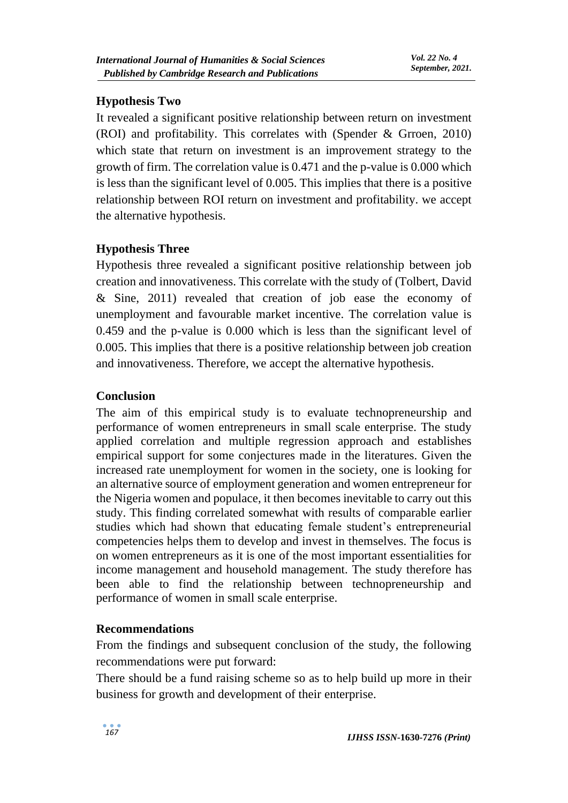## **Hypothesis Two**

It revealed a significant positive relationship between return on investment (ROI) and profitability. This correlates with (Spender & Grroen, 2010) which state that return on investment is an improvement strategy to the growth of firm. The correlation value is 0.471 and the p-value is 0.000 which is less than the significant level of 0.005. This implies that there is a positive relationship between ROI return on investment and profitability. we accept the alternative hypothesis.

## **Hypothesis Three**

Hypothesis three revealed a significant positive relationship between job creation and innovativeness. This correlate with the study of (Tolbert, David & Sine, 2011) revealed that creation of job ease the economy of unemployment and favourable market incentive. The correlation value is 0.459 and the p-value is 0.000 which is less than the significant level of 0.005. This implies that there is a positive relationship between job creation and innovativeness. Therefore, we accept the alternative hypothesis.

## **Conclusion**

The aim of this empirical study is to evaluate technopreneurship and performance of women entrepreneurs in small scale enterprise. The study applied correlation and multiple regression approach and establishes empirical support for some conjectures made in the literatures. Given the increased rate unemployment for women in the society, one is looking for an alternative source of employment generation and women entrepreneur for the Nigeria women and populace, it then becomes inevitable to carry out this study. This finding correlated somewhat with results of comparable earlier studies which had shown that educating female student's entrepreneurial competencies helps them to develop and invest in themselves. The focus is on women entrepreneurs as it is one of the most important essentialities for income management and household management. The study therefore has been able to find the relationship between technopreneurship and performance of women in small scale enterprise.

### **Recommendations**

From the findings and subsequent conclusion of the study, the following recommendations were put forward:

There should be a fund raising scheme so as to help build up more in their business for growth and development of their enterprise.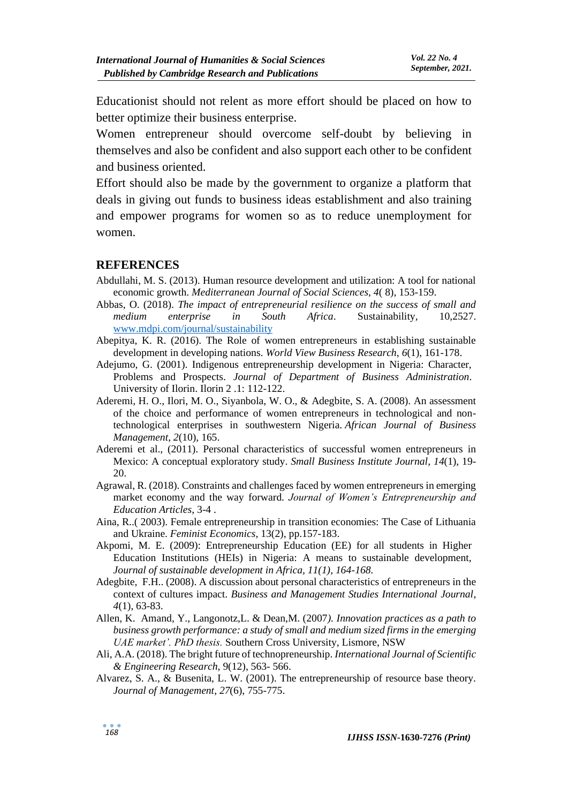Educationist should not relent as more effort should be placed on how to better optimize their business enterprise.

Women entrepreneur should overcome self-doubt by believing in themselves and also be confident and also support each other to be confident and business oriented.

Effort should also be made by the government to organize a platform that deals in giving out funds to business ideas establishment and also training and empower programs for women so as to reduce unemployment for women.

#### **REFERENCES**

- Abdullahi, M. S. (2013). Human resource development and utilization: A tool for national economic growth. *Mediterranean Journal of Social Sciences*, *4*( 8), 153-159.
- Abbas, O. (2018). *The impact of entrepreneurial resilience on the success of small and medium enterprise in South Africa*. Sustainability*,* 10,2527. [www.mdpi.com/journal/sustainability](http://www.mdpi.com/journal/sustainability)
- Abepitya, K. R. (2016). The Role of women entrepreneurs in establishing sustainable development in developing nations. *World View Business Research*, *6*(1), 161-178.
- Adejumo, G. (2001). Indigenous entrepreneurship development in Nigeria: Character, Problems and Prospects. *Journal of Department of Business Administration*. University of Ilorin. Ilorin 2 .1: 112-122.
- Aderemi, H. O., Ilori, M. O., Siyanbola, W. O., & Adegbite, S. A. (2008). An assessment of the choice and performance of women entrepreneurs in technological and nontechnological enterprises in southwestern Nigeria. *African Journal of Business Management*, *2*(10), 165.
- Aderemi et al., (2011). Personal characteristics of successful women entrepreneurs in Mexico: A conceptual exploratory study. *Small Business Institute Journal*, *14*(1), 19- 20.
- Agrawal, R. (2018). Constraints and challenges faced by women entrepreneurs in emerging market economy and the way forward. *Journal of Women's Entrepreneurship and Education Articles*, 3-4 .
- Aina, R..( 2003). Female entrepreneurship in transition economies: The Case of Lithuania and Ukraine. *Feminist Economics*, 13(2), pp.157-183.
- Akpomi, M. E. (2009): Entrepreneurship Education (EE) for all students in Higher Education Institutions (HEIs) in Nigeria: A means to sustainable development, *Journal of sustainable development in Africa, 11(1), 164-168.*
- Adegbite, F.H.. (2008). A discussion about personal characteristics of entrepreneurs in the context of cultures impact. *Business and Management Studies International Journal*, *4*(1), 63-83.
- Allen, K. Amand, Y., Langonotz,L. & Dean,M. (2007*). Innovation practices as a path to business growth performance: a study of small and medium sized firms in the emerging UAE market'. PhD thesis.* Southern Cross University, Lismore, NSW
- Ali, A.A. (2018). The bright future of technopreneurship. *International Journal of Scientific & Engineering Research*, 9(12), 563- 566.
- Alvarez, S. A., & Busenita, L. W. (2001). The entrepreneurship of resource base theory. *Journal of Management*, *27*(6), 755-775.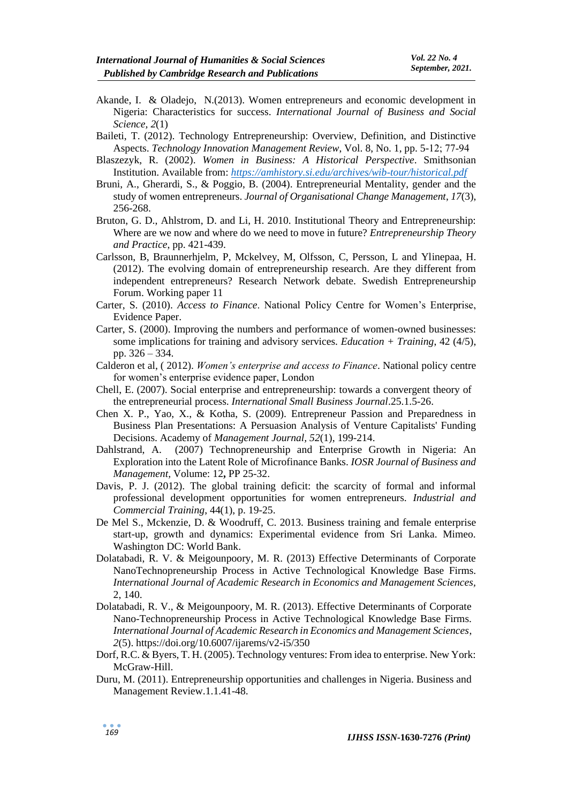- Akande, I. & Oladejo, N.(2013). Women entrepreneurs and economic development in Nigeria: Characteristics for success. *International Journal of Business and Social Science, 2*(1)
- Baileti, T. (2012). Technology Entrepreneurship: Overview, Definition, and Distinctive Aspects. *Technology Innovation Management Review*, Vol. 8, No. 1, pp. 5-12; 77‐94
- Blaszezyk, R. (2002). *Women in Business: A Historical Perspective*. Smithsonian Institution. Available from: *<https://amhistory.si.edu/archives/wib-tour/historical.pdf>*
- Bruni, A., Gherardi, S., & Poggio, B. (2004). Entrepreneurial Mentality, gender and the study of women entrepreneurs. *Journal of Organisational Change Management*, *17*(3), 256-268.
- Bruton, G. D., Ahlstrom, D. and Li, H. 2010. Institutional Theory and Entrepreneurship: Where are we now and where do we need to move in future? *Entrepreneurship Theory and Practice*, pp. 421-439.
- Carlsson, B, Braunnerhjelm, P, Mckelvey, M, Olfsson, C, Persson, L and Ylinepaa, H. (2012). The evolving domain of entrepreneurship research. Are they different from independent entrepreneurs? Research Network debate. Swedish Entrepreneurship Forum. Working paper 11
- Carter, S. (2010). *Access to Finance*. National Policy Centre for Women's Enterprise, Evidence Paper.
- Carter, S. (2000). Improving the numbers and performance of women-owned businesses: some implications for training and advisory services. *Education + Training*, 42 (4/5), pp. 326 – 334.
- Calderon et al, ( 2012). *Women's enterprise and access to Finance*. National policy centre for women's enterprise evidence paper, London
- Chell, E. (2007). Social enterprise and entrepreneurship: towards a convergent theory of the entrepreneurial process. *International Small Business Journal*.25.1.5-26.
- Chen X. P., Yao, X., & Kotha, S. (2009). Entrepreneur Passion and Preparedness in Business Plan Presentations: A Persuasion Analysis of Venture Capitalists' Funding Decisions. Academy of *Management Journal, 52*(1), 199-214.
- Dahlstrand, A. (2007) Technopreneurship and Enterprise Growth in Nigeria: An Exploration into the Latent Role of Microfinance Banks. *IOSR Journal of Business and Management,* Volume: 12**,** PP 25-32.
- Davis, P. J. (2012). The global training deficit: the scarcity of formal and informal professional development opportunities for women entrepreneurs. *Industrial and Commercial Training*, 44(1), p. 19-25.
- De Mel S., Mckenzie, D. & Woodruff, C. 2013. Business training and female enterprise start-up, growth and dynamics: Experimental evidence from Sri Lanka. Mimeo. Washington DC: World Bank.
- Dolatabadi, R. V. & Meigounpoory, M. R. (2013) Effective Determinants of Corporate NanoTechnopreneurship Process in Active Technological Knowledge Base Firms. *International Journal of Academic Research in Economics and Management Sciences,*  2, 140.
- Dolatabadi, R. V., & Meigounpoory, M. R. (2013). Effective Determinants of Corporate Nano-Technopreneurship Process in Active Technological Knowledge Base Firms. *International Journal of Academic Research in Economics and Management Sciences*, *2*(5). https://doi.org/10.6007/ijarems/v2-i5/350
- Dorf, R.C. & Byers, T. H. (2005). Technology ventures: From idea to enterprise. New York: McGraw-Hill.
- Duru, M. (2011). Entrepreneurship opportunities and challenges in Nigeria. Business and Management Review.1.1.41-48.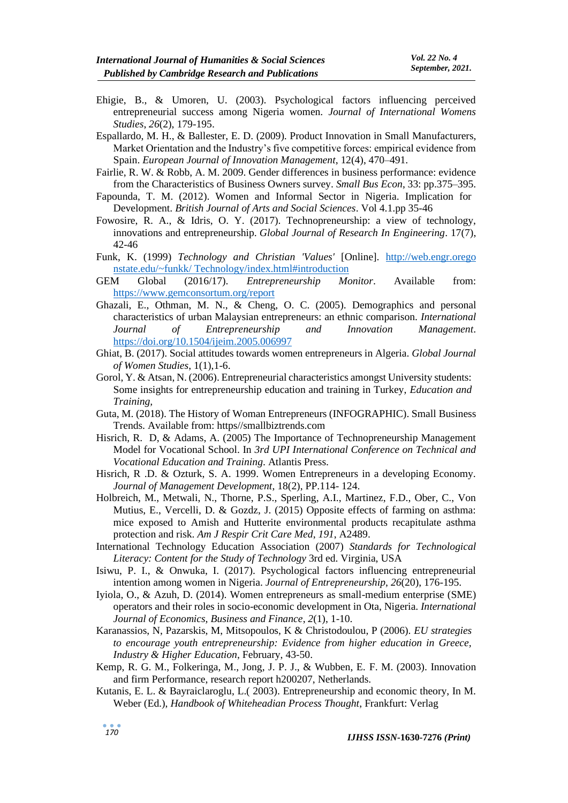- Ehigie, B., & Umoren, U. (2003). Psychological factors influencing perceived entrepreneurial success among Nigeria women. *Journal of International Womens Studies*, *26*(2), 179-195.
- Espallardo, M. H., & Ballester, E. D. (2009). Product Innovation in Small Manufacturers, Market Orientation and the Industry's five competitive forces: empirical evidence from Spain. *European Journal of Innovation Management*, 12(4), 470–491.
- Fairlie, R. W. & Robb, A. M. 2009. Gender differences in business performance: evidence from the Characteristics of Business Owners survey. *Small Bus Econ*, 33: pp.375–395.
- Fapounda, T. M. (2012). Women and Informal Sector in Nigeria. Implication for Development. *British Journal of Arts and Social Sciences*. Vol 4.1.pp 35-46
- Fowosire, R. A., & Idris, O. Y. (2017). Technopreneurship: a view of technology, innovations and entrepreneurship. *Global Journal of Research In Engineering*. 17(7), 42-46
- Funk, K. (1999) *Technology and Christian 'Values'* [Online]. http://web.engr.orego nstate.edu/~funkk/ Technology/index.html#introduction
- GEM Global (2016/17). *Entrepreneurship Monitor*. Available from: <https://www.gemconsortum.org/report>
- Ghazali, E., Othman, M. N., & Cheng, O. C. (2005). Demographics and personal characteristics of urban Malaysian entrepreneurs: an ethnic comparison. *International Journal of Entrepreneurship and Innovation Management*. <https://doi.org/10.1504/ijeim.2005.006997>
- Ghiat, B. (2017). Social attitudes towards women entrepreneurs in Algeria. *Global Journal of Women Studies*, 1(1),1-6.
- Gorol, Y. & Atsan, N. (2006). Entrepreneurial characteristics amongst University students: Some insights for entrepreneurship education and training in Turkey, *Education and Training,*
- Guta, M. (2018). The History of Woman Entrepreneurs (INFOGRAPHIC). Small Business Trends. Available from: https//smallbiztrends.com
- Hisrich, R. D, & Adams, A. (2005) The Importance of Technopreneurship Management Model for Vocational School. In *3rd UPI International Conference on Technical and Vocational Education and Training*. Atlantis Press.
- Hisrich, R .D. & Ozturk, S. A. 1999. Women Entrepreneurs in a developing Economy. *Journal of Management Development*, 18(2), PP.114- 124.
- Holbreich, M., Metwali, N., Thorne, P.S., Sperling, A.I., Martinez, F.D., Ober, C., Von Mutius, E., Vercelli, D. & Gozdz, J. (2015) Opposite effects of farming on asthma: mice exposed to Amish and Hutterite environmental products recapitulate asthma protection and risk. *Am J Respir Crit Care Med*, *191*, A2489.
- International Technology Education Association (2007) *Standards for Technological Literacy: Content for the Study of Technology* 3rd ed. Virginia, USA
- Isiwu, P. I., & Onwuka, I. (2017). Psychological factors influencing entrepreneurial intention among women in Nigeria. *Journal of Entrepreneurship*, *26*(20), 176-195.
- Iyiola, O., & Azuh, D. (2014). Women entrepreneurs as small-medium enterprise (SME) operators and their roles in socio-economic development in Ota, Nigeria. *International Journal of Economics, Business and Finance*, *2*(1), 1-10.
- Karanassios, N, Pazarskis, M, Mitsopoulos, K & Christodoulou, P (2006). *EU strategies to encourage youth entrepreneurship: Evidence from higher education in Greece, Industry & Higher Education*, February, 43-50.
- Kemp, R. G. M., Folkeringa, M., Jong, J. P. J., & Wubben, E. F. M. (2003). Innovation and firm Performance, research report h200207, Netherlands.
- Kutanis, E. L. & Bayraiclaroglu, L.( 2003). Entrepreneurship and economic theory, In M. Weber (Ed.), *Handbook of Whiteheadian Process Thought*, Frankfurt: Verlag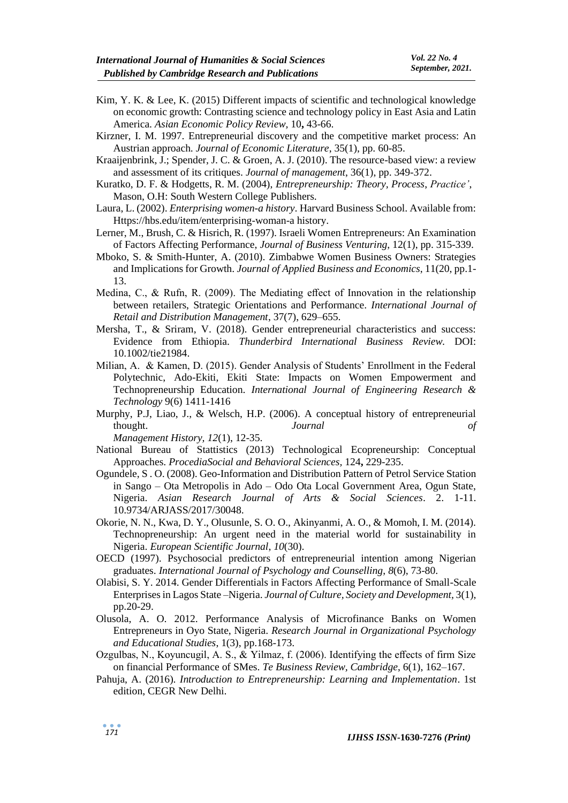- Kim, Y. K. & Lee, K. (2015) Different impacts of scientific and technological knowledge on economic growth: Contrasting science and technology policy in East Asia and Latin America. *Asian Economic Policy Review,* 10**,** 43-66.
- Kirzner, I. M. 1997. Entrepreneurial discovery and the competitive market process: An Austrian approach. *Journal of Economic Literature*, 35(1), pp. 60-85.
- Kraaijenbrink, J.; Spender, J. C. & Groen, A. J. (2010). The resource-based view: a review and assessment of its critiques. *Journal of management*, 36(1), pp. 349-372.
- Kuratko, D. F. & Hodgetts, R. M. (2004), *Entrepreneurship: Theory, Process*, *Practice'*, Mason, O.H: South Western College Publishers.
- Laura, L. (2002). *Enterprising women-a history*. Harvard Business School. Available from: Https://hbs.edu/item/enterprising-woman-a history.
- Lerner, M., Brush, C. & Hisrich, R. (1997). Israeli Women Entrepreneurs: An Examination of Factors Affecting Performance, *Journal of Business Venturing*, 12(1), pp. 315-339.
- Mboko, S. & Smith-Hunter, A. (2010). Zimbabwe Women Business Owners: Strategies and Implications for Growth. *Journal of Applied Business and Economics*, 11(20, pp.1- 13.
- Medina, C., & Rufn, R. (2009). The Mediating effect of Innovation in the relationship between retailers, Strategic Orientations and Performance. *International Journal of Retail and Distribution Management*, 37(7), 629–655.
- Mersha, T., & Sriram, V. (2018). Gender entrepreneurial characteristics and success: Evidence from Ethiopia. *Thunderbird International Business Review.* DOI: 10.1002/tie21984.
- Milian, A. & Kamen, D. (2015). Gender Analysis of Students' Enrollment in the Federal Polytechnic, Ado-Ekiti, Ekiti State: Impacts on Women Empowerment and Technopreneurship Education. *International Journal of Engineering Research & Technology* 9(6) 1411-1416
- Murphy, P.J, Liao, J., & Welsch, H.P. (2006). A conceptual history of entrepreneurial thought. *Journal of Management History, 12*(1), 12-35.
- National Bureau of Stattistics (2013) Technological Ecopreneurship: Conceptual Approaches. *ProcediaSocial and Behavioral Sciences,* 124**,** 229-235.
- Ogundele, S . O. (2008). Geo-Information and Distribution Pattern of Petrol Service Station in Sango – Ota Metropolis in Ado – Odo Ota Local Government Area, Ogun State, Nigeria. *Asian Research Journal of Arts & Social Sciences*. 2. 1-11. 10.9734/ARJASS/2017/30048.
- Okorie, N. N., Kwa, D. Y., Olusunle, S. O. O., Akinyanmi, A. O., & Momoh, I. M. (2014). Technopreneurship: An urgent need in the material world for sustainability in Nigeria. *European Scientific Journal*, *10*(30).
- OECD (1997). Psychosocial predictors of entrepreneurial intention among Nigerian graduates. *International Journal of Psychology and Counselling*, *8*(6), 73-80.
- Olabisi, S. Y. 2014. Gender Differentials in Factors Affecting Performance of Small-Scale Enterprises in Lagos State –Nigeria. *Journal of Culture, Society and Development,* 3(1), pp.20-29.
- Olusola, A. O. 2012. Performance Analysis of Microfinance Banks on Women Entrepreneurs in Oyo State, Nigeria. *Research Journal in Organizational Psychology and Educational Studies*, 1(3), pp.168-173.
- Ozgulbas, N., Koyuncugil, A. S., & Yilmaz, f. (2006). Identifying the effects of firm Size on financial Performance of SMes. *Te Business Review, Cambridge*, 6(1), 162–167.
- Pahuja, A. (2016). *Introduction to Entrepreneurship: Learning and Implementation*. 1st edition, CEGR New Delhi.